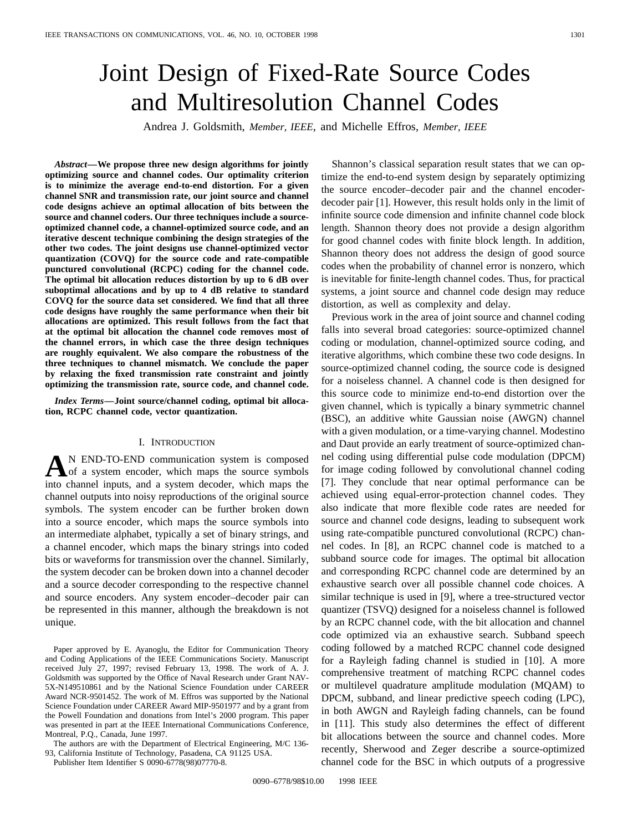# Joint Design of Fixed-Rate Source Codes and Multiresolution Channel Codes

Andrea J. Goldsmith, *Member, IEEE*, and Michelle Effros, *Member, IEEE*

*Abstract—***We propose three new design algorithms for jointly optimizing source and channel codes. Our optimality criterion is to minimize the average end-to-end distortion. For a given channel SNR and transmission rate, our joint source and channel code designs achieve an optimal allocation of bits between the source and channel coders. Our three techniques include a sourceoptimized channel code, a channel-optimized source code, and an iterative descent technique combining the design strategies of the other two codes. The joint designs use channel-optimized vector quantization (COVQ) for the source code and rate-compatible punctured convolutional (RCPC) coding for the channel code. The optimal bit allocation reduces distortion by up to 6 dB over suboptimal allocations and by up to 4 dB relative to standard COVQ for the source data set considered. We find that all three code designs have roughly the same performance when their bit allocations are optimized. This result follows from the fact that at the optimal bit allocation the channel code removes most of the channel errors, in which case the three design techniques are roughly equivalent. We also compare the robustness of the three techniques to channel mismatch. We conclude the paper by relaxing the fixed transmission rate constraint and jointly optimizing the transmission rate, source code, and channel code.**

*Index Terms—***Joint source/channel coding, optimal bit allocation, RCPC channel code, vector quantization.**

## I. INTRODUCTION

A <sup>N</sup> END-TO-END communication system is composed<br>of a system encoder, which maps the source symbols<br>into abound injute and a system decoder which maps the into channel inputs, and a system decoder, which maps the channel outputs into noisy reproductions of the original source symbols. The system encoder can be further broken down into a source encoder, which maps the source symbols into an intermediate alphabet, typically a set of binary strings, and a channel encoder, which maps the binary strings into coded bits or waveforms for transmission over the channel. Similarly, the system decoder can be broken down into a channel decoder and a source decoder corresponding to the respective channel and source encoders. Any system encoder–decoder pair can be represented in this manner, although the breakdown is not unique.

Paper approved by E. Ayanoglu, the Editor for Communication Theory and Coding Applications of the IEEE Communications Society. Manuscript received July 27, 1997; revised February 13, 1998. The work of A. J. Goldsmith was supported by the Office of Naval Research under Grant NAV-5X-N149510861 and by the National Science Foundation under CAREER Award NCR-9501452. The work of M. Effros was supported by the National Science Foundation under CAREER Award MIP-9501977 and by a grant from the Powell Foundation and donations from Intel's 2000 program. This paper was presented in part at the IEEE International Communications Conference, Montreal, P.Q., Canada, June 1997.

The authors are with the Department of Electrical Engineering, M/C 136- 93, California Institute of Technology, Pasadena, CA 91125 USA.

Publisher Item Identifier S 0090-6778(98)07770-8.

Shannon's classical separation result states that we can optimize the end-to-end system design by separately optimizing the source encoder–decoder pair and the channel encoderdecoder pair [1]. However, this result holds only in the limit of infinite source code dimension and infinite channel code block length. Shannon theory does not provide a design algorithm for good channel codes with finite block length. In addition, Shannon theory does not address the design of good source codes when the probability of channel error is nonzero, which is inevitable for finite-length channel codes. Thus, for practical systems, a joint source and channel code design may reduce distortion, as well as complexity and delay.

Previous work in the area of joint source and channel coding falls into several broad categories: source-optimized channel coding or modulation, channel-optimized source coding, and iterative algorithms, which combine these two code designs. In source-optimized channel coding, the source code is designed for a noiseless channel. A channel code is then designed for this source code to minimize end-to-end distortion over the given channel, which is typically a binary symmetric channel (BSC), an additive white Gaussian noise (AWGN) channel with a given modulation, or a time-varying channel. Modestino and Daut provide an early treatment of source-optimized channel coding using differential pulse code modulation (DPCM) for image coding followed by convolutional channel coding [7]. They conclude that near optimal performance can be achieved using equal-error-protection channel codes. They also indicate that more flexible code rates are needed for source and channel code designs, leading to subsequent work using rate-compatible punctured convolutional (RCPC) channel codes. In [8], an RCPC channel code is matched to a subband source code for images. The optimal bit allocation and corresponding RCPC channel code are determined by an exhaustive search over all possible channel code choices. A similar technique is used in [9], where a tree-structured vector quantizer (TSVQ) designed for a noiseless channel is followed by an RCPC channel code, with the bit allocation and channel code optimized via an exhaustive search. Subband speech coding followed by a matched RCPC channel code designed for a Rayleigh fading channel is studied in [10]. A more comprehensive treatment of matching RCPC channel codes or multilevel quadrature amplitude modulation (MQAM) to DPCM, subband, and linear predictive speech coding (LPC), in both AWGN and Rayleigh fading channels, can be found in [11]. This study also determines the effect of different bit allocations between the source and channel codes. More recently, Sherwood and Zeger describe a source-optimized channel code for the BSC in which outputs of a progressive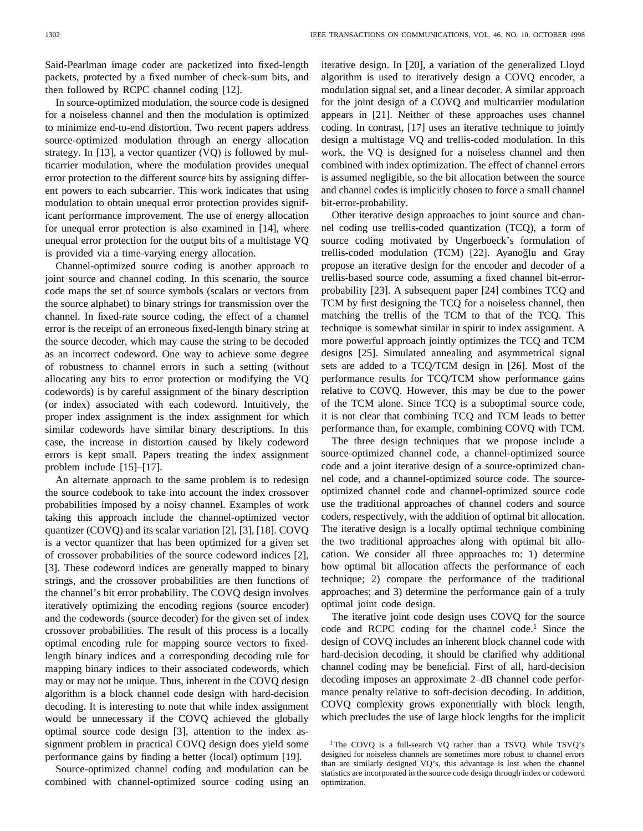Said-Pearlman image coder are packetized into fixed-length packets, protected by a fixed number of check-sum bits, and then followed by RCPC channel coding [12].

In source-optimized modulation, the source code is designed for a noiseless channel and then the modulation is optimized to minimize end-to-end distortion. Two recent papers address source-optimized modulation through an energy allocation strategy. In [13], a vector quantizer (VQ) is followed by multicarrier modulation, where the modulation provides unequal error protection to the different source bits by assigning different powers to each subcarrier. This work indicates that using modulation to obtain unequal error protection provides significant performance improvement. The use of energy allocation for unequal error protection is also examined in [14], where unequal error protection for the output bits of a multistage VQ is provided via a time-varying energy allocation.

Channel-optimized source coding is another approach to joint source and channel coding. In this scenario, the source code maps the set of source symbols (scalars or vectors from the source alphabet) to binary strings for transmission over the channel. In fixed-rate source coding, the effect of a channel error is the receipt of an erroneous fixed-length binary string at the source decoder, which may cause the string to be decoded as an incorrect codeword. One way to achieve some degree of robustness to channel errors in such a setting (without allocating any bits to error protection or modifying the VQ codewords) is by careful assignment of the binary description (or index) associated with each codeword. Intuitively, the proper index assignment is the index assignment for which similar codewords have similar binary descriptions. In this case, the increase in distortion caused by likely codeword errors is kept small. Papers treating the index assignment problem include [15]–[17].

An alternate approach to the same problem is to redesign the source codebook to take into account the index crossover probabilities imposed by a noisy channel. Examples of work taking this approach include the channel-optimized vector quantizer (COVQ) and its scalar variation [2], [3], [18]. COVQ is a vector quantizer that has been optimized for a given set of crossover probabilities of the source codeword indices [2], [3]. These codeword indices are generally mapped to binary strings, and the crossover probabilities are then functions of the channel's bit error probability. The COVQ design involves iteratively optimizing the encoding regions (source encoder) and the codewords (source decoder) for the given set of index crossover probabilities. The result of this process is a locally optimal encoding rule for mapping source vectors to fixedlength binary indices and a corresponding decoding rule for mapping binary indices to their associated codewords, which may or may not be unique. Thus, inherent in the COVQ design algorithm is a block channel code design with hard-decision decoding. It is interesting to note that while index assignment would be unnecessary if the COVQ achieved the globally optimal source code design [3], attention to the index assignment problem in practical COVQ design does yield some performance gains by finding a better (local) optimum [19].

Source-optimized channel coding and modulation can be combined with channel-optimized source coding using an iterative design. In [20], a variation of the generalized Lloyd algorithm is used to iteratively design a COVQ encoder, a modulation signal set, and a linear decoder. A similar approach for the joint design of a COVQ and multicarrier modulation appears in [21]. Neither of these approaches uses channel coding. In contrast, [17] uses an iterative technique to jointly design a multistage VQ and trellis-coded modulation. In this work, the VQ is designed for a noiseless channel and then combined with index optimization. The effect of channel errors is assumed negligible, so the bit allocation between the source and channel codes is implicitly chosen to force a small channel bit-error-probability.

Other iterative design approaches to joint source and channel coding use trellis-coded quantization (TCQ), a form of source coding motivated by Ungerboeck's formulation of trellis-coded modulation (TCM) [22]. Ayanoğlu and Gray propose an iterative design for the encoder and decoder of a trellis-based source code, assuming a fixed channel bit-errorprobability [23]. A subsequent paper [24] combines TCQ and TCM by first designing the TCQ for a noiseless channel, then matching the trellis of the TCM to that of the TCQ. This technique is somewhat similar in spirit to index assignment. A more powerful approach jointly optimizes the TCQ and TCM designs [25]. Simulated annealing and asymmetrical signal sets are added to a TCQ/TCM design in [26]. Most of the performance results for TCQ/TCM show performance gains relative to COVQ. However, this may be due to the power of the TCM alone. Since TCQ is a suboptimal source code, it is not clear that combining TCQ and TCM leads to better performance than, for example, combining COVQ with TCM.

The three design techniques that we propose include a source-optimized channel code, a channel-optimized source code and a joint iterative design of a source-optimized channel code, and a channel-optimized source code. The sourceoptimized channel code and channel-optimized source code use the traditional approaches of channel coders and source coders, respectively, with the addition of optimal bit allocation. The iterative design is a locally optimal technique combining the two traditional approaches along with optimal bit allocation. We consider all three approaches to: 1) determine how optimal bit allocation affects the performance of each technique; 2) compare the performance of the traditional approaches; and 3) determine the performance gain of a truly optimal joint code design.

The iterative joint code design uses COVQ for the source code and RCPC coding for the channel code.<sup>1</sup> Since the design of COVQ includes an inherent block channel code with hard-decision decoding, it should be clarified why additional channel coding may be beneficial. First of all, hard-decision decoding imposes an approximate 2–dB channel code performance penalty relative to soft-decision decoding. In addition, COVQ complexity grows exponentially with block length, which precludes the use of large block lengths for the implicit

<sup>&</sup>lt;sup>1</sup>The COVQ is a full-search VQ rather than a TSVQ. While TSVQ's designed for noiseless channels are sometimes more robust to channel errors than are similarly designed VQ's, this advantage is lost when the channel statistics are incorporated in the source code design through index or codeword optimization.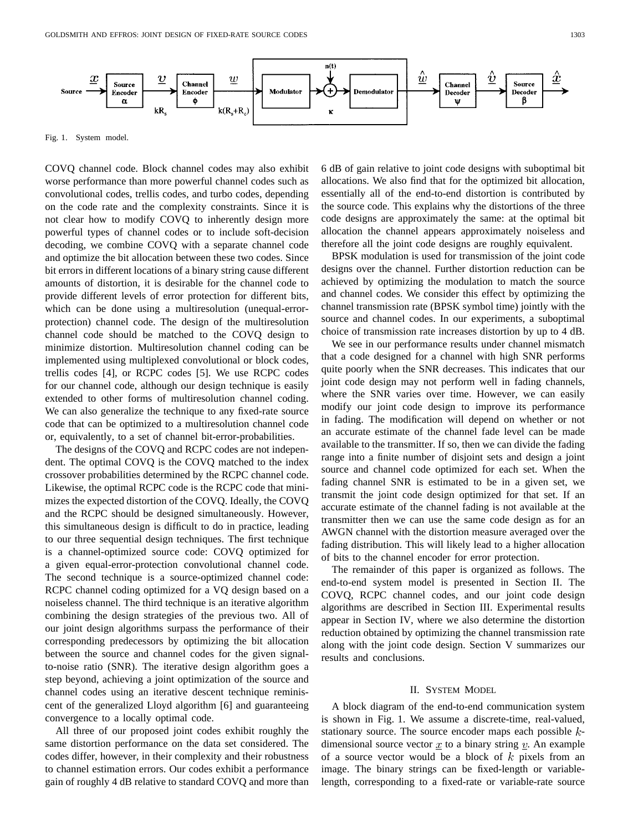

Fig. 1. System model.

COVQ channel code. Block channel codes may also exhibit worse performance than more powerful channel codes such as convolutional codes, trellis codes, and turbo codes, depending on the code rate and the complexity constraints. Since it is not clear how to modify COVQ to inherently design more powerful types of channel codes or to include soft-decision decoding, we combine COVQ with a separate channel code and optimize the bit allocation between these two codes. Since bit errors in different locations of a binary string cause different amounts of distortion, it is desirable for the channel code to provide different levels of error protection for different bits, which can be done using a multiresolution (unequal-errorprotection) channel code. The design of the multiresolution channel code should be matched to the COVQ design to minimize distortion. Multiresolution channel coding can be implemented using multiplexed convolutional or block codes, trellis codes [4], or RCPC codes [5]. We use RCPC codes for our channel code, although our design technique is easily extended to other forms of multiresolution channel coding. We can also generalize the technique to any fixed-rate source code that can be optimized to a multiresolution channel code or, equivalently, to a set of channel bit-error-probabilities.

The designs of the COVQ and RCPC codes are not independent. The optimal COVQ is the COVQ matched to the index crossover probabilities determined by the RCPC channel code. Likewise, the optimal RCPC code is the RCPC code that minimizes the expected distortion of the COVQ. Ideally, the COVQ and the RCPC should be designed simultaneously. However, this simultaneous design is difficult to do in practice, leading to our three sequential design techniques. The first technique is a channel-optimized source code: COVQ optimized for a given equal-error-protection convolutional channel code. The second technique is a source-optimized channel code: RCPC channel coding optimized for a VQ design based on a noiseless channel. The third technique is an iterative algorithm combining the design strategies of the previous two. All of our joint design algorithms surpass the performance of their corresponding predecessors by optimizing the bit allocation between the source and channel codes for the given signalto-noise ratio (SNR). The iterative design algorithm goes a step beyond, achieving a joint optimization of the source and channel codes using an iterative descent technique reminiscent of the generalized Lloyd algorithm [6] and guaranteeing convergence to a locally optimal code.

All three of our proposed joint codes exhibit roughly the same distortion performance on the data set considered. The codes differ, however, in their complexity and their robustness to channel estimation errors. Our codes exhibit a performance gain of roughly 4 dB relative to standard COVQ and more than 6 dB of gain relative to joint code designs with suboptimal bit allocations. We also find that for the optimized bit allocation, essentially all of the end-to-end distortion is contributed by the source code. This explains why the distortions of the three code designs are approximately the same: at the optimal bit allocation the channel appears approximately noiseless and therefore all the joint code designs are roughly equivalent.

BPSK modulation is used for transmission of the joint code designs over the channel. Further distortion reduction can be achieved by optimizing the modulation to match the source and channel codes. We consider this effect by optimizing the channel transmission rate (BPSK symbol time) jointly with the source and channel codes. In our experiments, a suboptimal choice of transmission rate increases distortion by up to 4 dB.

We see in our performance results under channel mismatch that a code designed for a channel with high SNR performs quite poorly when the SNR decreases. This indicates that our joint code design may not perform well in fading channels, where the SNR varies over time. However, we can easily modify our joint code design to improve its performance in fading. The modification will depend on whether or not an accurate estimate of the channel fade level can be made available to the transmitter. If so, then we can divide the fading range into a finite number of disjoint sets and design a joint source and channel code optimized for each set. When the fading channel SNR is estimated to be in a given set, we transmit the joint code design optimized for that set. If an accurate estimate of the channel fading is not available at the transmitter then we can use the same code design as for an AWGN channel with the distortion measure averaged over the fading distribution. This will likely lead to a higher allocation of bits to the channel encoder for error protection.

The remainder of this paper is organized as follows. The end-to-end system model is presented in Section II. The COVQ, RCPC channel codes, and our joint code design algorithms are described in Section III. Experimental results appear in Section IV, where we also determine the distortion reduction obtained by optimizing the channel transmission rate along with the joint code design. Section V summarizes our results and conclusions.

#### II. SYSTEM MODEL

A block diagram of the end-to-end communication system is shown in Fig. 1. We assume a discrete-time, real-valued, stationary source. The source encoder maps each possible  $k$ dimensional source vector  $\underline{x}$  to a binary string  $\underline{v}$ . An example of a source vector would be a block of  $k$  pixels from an image. The binary strings can be fixed-length or variablelength, corresponding to a fixed-rate or variable-rate source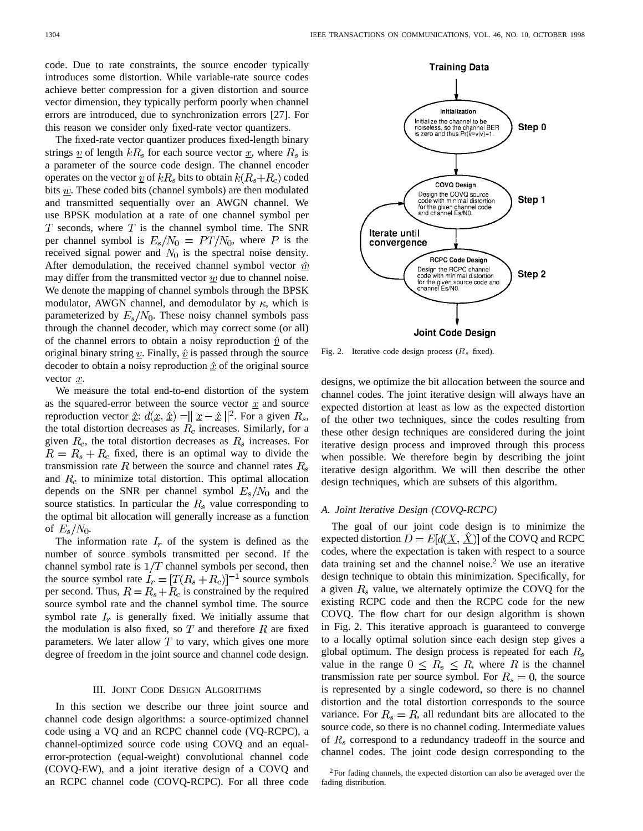code. Due to rate constraints, the source encoder typically introduces some distortion. While variable-rate source codes achieve better compression for a given distortion and source vector dimension, they typically perform poorly when channel errors are introduced, due to synchronization errors [27]. For this reason we consider only fixed-rate vector quantizers.

The fixed-rate vector quantizer produces fixed-length binary strings  $\underline{v}$  of length  $kR_s$  for each source vector  $\underline{x}$ , where  $R_s$  is a parameter of the source code design. The channel encoder operates on the vector  $\underline{v}$  of  $kR_s$  bits to obtain  $k(R_s+R_c)$  coded bits  $\mathbf{w}$ . These coded bits (channel symbols) are then modulated and transmitted sequentially over an AWGN channel. We use BPSK modulation at a rate of one channel symbol per  $T$  seconds, where  $T$  is the channel symbol time. The SNR per channel symbol is  $E_s/N_0 = PT/N_0$ , where P is the received signal power and  $N_0$  is the spectral noise density. After demodulation, the received channel symbol vector  $\hat{w}$ may differ from the transmitted vector  $w$  due to channel noise. We denote the mapping of channel symbols through the BPSK modulator, AWGN channel, and demodulator by  $\kappa$ , which is parameterized by  $E_s/N_0$ . These noisy channel symbols pass through the channel decoder, which may correct some (or all) of the channel errors to obtain a noisy reproduction  $\hat{v}$  of the original binary string  $\underline{v}$ . Finally,  $\underline{\hat{v}}$  is passed through the source decoder to obtain a noisy reproduction  $\hat{x}$  of the original source vector  $x$ .

We measure the total end-to-end distortion of the system as the squared-error between the source vector  $\underline{x}$  and source reproduction vector  $\hat{\underline{x}}$ :  $d(\underline{x}, \hat{\underline{x}}) = ||\underline{x} - \hat{\underline{x}}||^2$ . For a given  $R_s$ , the total distortion decreases as  $R_c$  increases. Similarly, for a given  $R_c$ , the total distortion decreases as  $R_s$  increases. For  $R = R<sub>s</sub> + R<sub>c</sub>$  fixed, there is an optimal way to divide the transmission rate R between the source and channel rates  $R_s$ and  $R_c$  to minimize total distortion. This optimal allocation depends on the SNR per channel symbol  $E_s/N_0$  and the source statistics. In particular the  $R<sub>s</sub>$  value corresponding to the optimal bit allocation will generally increase as a function of  $E_s/N_0$ .

The information rate  $I_r$  of the system is defined as the number of source symbols transmitted per second. If the channel symbol rate is  $1/T$  channel symbols per second, then the source symbol rate  $I_r = [T(R_s + R_c)]^{-1}$  source symbols per second. Thus,  $R = R_s + R_c$  is constrained by the required source symbol rate and the channel symbol time. The source symbol rate  $I_r$  is generally fixed. We initially assume that the modulation is also fixed, so  $T$  and therefore  $R$  are fixed parameters. We later allow  $T$  to vary, which gives one more degree of freedom in the joint source and channel code design.

#### III. JOINT CODE DESIGN ALGORITHMS

In this section we describe our three joint source and channel code design algorithms: a source-optimized channel code using a VQ and an RCPC channel code (VQ-RCPC), a channel-optimized source code using COVQ and an equalerror-protection (equal-weight) convolutional channel code (COVQ-EW), and a joint iterative design of a COVQ and an RCPC channel code (COVQ-RCPC). For all three code



Fig. 2. Iterative code design process  $(R_s \text{ fixed})$ .

designs, we optimize the bit allocation between the source and channel codes. The joint iterative design will always have an expected distortion at least as low as the expected distortion of the other two techniques, since the codes resulting from these other design techniques are considered during the joint iterative design process and improved through this process when possible. We therefore begin by describing the joint iterative design algorithm. We will then describe the other design techniques, which are subsets of this algorithm.

## *A. Joint Iterative Design (COVQ-RCPC)*

The goal of our joint code design is to minimize the expected distortion  $D = E[d(X, \hat{X})]$  of the COVQ and RCPC codes, where the expectation is taken with respect to a source data training set and the channel noise.<sup>2</sup> We use an iterative design technique to obtain this minimization. Specifically, for a given  $R_s$  value, we alternately optimize the COVQ for the existing RCPC code and then the RCPC code for the new COVQ. The flow chart for our design algorithm is shown in Fig. 2. This iterative approach is guaranteed to converge to a locally optimal solution since each design step gives a global optimum. The design process is repeated for each  $R_s$ value in the range  $0 \leq R_s \leq R$ , where R is the channel transmission rate per source symbol. For  $R_s = 0$ , the source is represented by a single codeword, so there is no channel distortion and the total distortion corresponds to the source variance. For  $R_s = R$ , all redundant bits are allocated to the source code, so there is no channel coding. Intermediate values of  $R<sub>s</sub>$  correspond to a redundancy tradeoff in the source and channel codes. The joint code design corresponding to the

 $2$ For fading channels, the expected distortion can also be averaged over the fading distribution.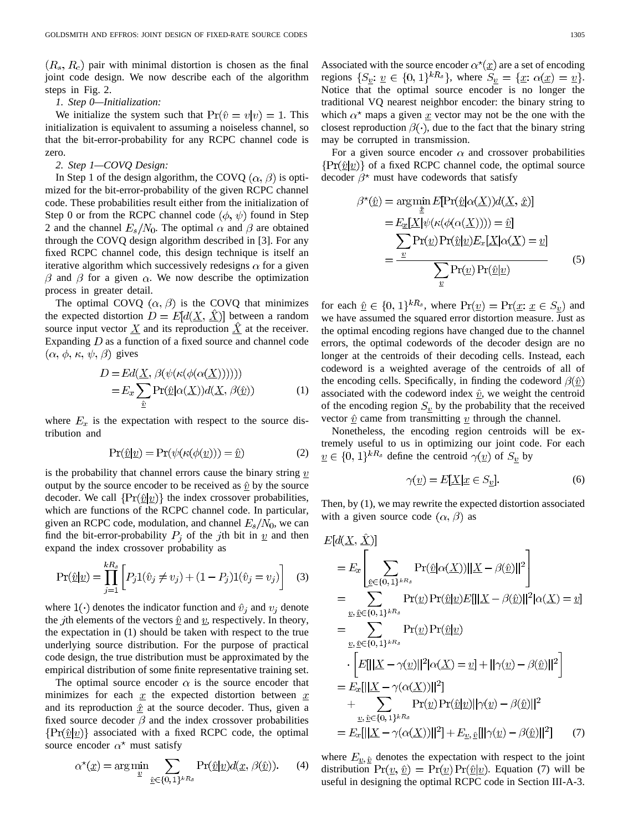$(R_s, R_c)$  pair with minimal distortion is chosen as the final joint code design. We now describe each of the algorithm steps in Fig. 2.

## *1. Step 0—Initialization:*

We initialize the system such that  $Pr(\hat{v} = v | v) = 1$ . This initialization is equivalent to assuming a noiseless channel, so that the bit-error-probability for any RCPC channel code is zero.

*2. Step 1—COVQ Design:*

In Step 1 of the design algorithm, the COVQ  $(\alpha, \beta)$  is optimized for the bit-error-probability of the given RCPC channel code. These probabilities result either from the initialization of Step 0 or from the RCPC channel code  $(\phi, \psi)$  found in Step 2 and the channel  $E_s/N_0$ . The optimal  $\alpha$  and  $\beta$  are obtained through the COVQ design algorithm described in [3]. For any fixed RCPC channel code, this design technique is itself an iterative algorithm which successively redesigns  $\alpha$  for a given  $\beta$  and  $\beta$  for a given  $\alpha$ . We now describe the optimization process in greater detail.

The optimal COVQ  $(\alpha, \beta)$  is the COVQ that minimizes the expected distortion  $D = E[d(\underline{X}, \underline{X})]$  between a random source input vector  $\underline{X}$  and its reproduction  $\underline{X}$  at the receiver. Expanding  $D$  as a function of a fixed source and channel code  $(\alpha, \phi, \kappa, \psi, \beta)$  gives

$$
D = Ed(\underline{X}, \beta(\psi(\kappa(\phi(\alpha(\underline{X}))))))
$$
  
=  $E_x \sum_{\hat{\underline{v}}} \Pr(\hat{\underline{v}}|\alpha(\underline{X}))d(\underline{X}, \beta(\hat{\underline{v}}))$  (1)

where  $E_x$  is the expectation with respect to the source distribution and

$$
Pr(\hat{\underline{v}}|\underline{v}) = Pr(\psi(\kappa(\phi(\underline{v}))) = \hat{\underline{v}})
$$
\n(2)

is the probability that channel errors cause the binary string  $\overline{v}$ output by the source encoder to be received as  $\hat{v}$  by the source decoder. We call  $\{\Pr(\hat{v}|v)\}\$  the index crossover probabilities, which are functions of the RCPC channel code. In particular, given an RCPC code, modulation, and channel  $E_s/N_0$ , we can find the bit-error-probability  $P_i$  of the jth bit in  $\underline{v}$  and then expand the index crossover probability as

$$
Pr(\hat{v}|\underline{v}) = \prod_{j=1}^{kR_s} \left[ P_j 1(\hat{v}_j \neq v_j) + (1 - P_j) 1(\hat{v}_j = v_j) \right]
$$
 (3)

where  $1(\cdot)$  denotes the indicator function and  $\hat{v}_j$  and  $v_j$  denote the *j*th elements of the vectors  $\hat{v}$  and  $v$ , respectively. In theory, the expectation in (1) should be taken with respect to the true underlying source distribution. For the purpose of practical code design, the true distribution must be approximated by the empirical distribution of some finite representative training set.

The optimal source encoder  $\alpha$  is the source encoder that minimizes for each  $x$  the expected distortion between  $x$ and its reproduction  $\hat{x}$  at the source decoder. Thus, given a fixed source decoder  $\beta$  and the index crossover probabilities  $\{Pr(\hat{v}|\hat{v})\}$  associated with a fixed RCPC code, the optimal source encoder  $\alpha^*$  must satisfy

$$
\alpha^{\star}(\underline{x}) = \arg\min_{\underline{v}} \sum_{\underline{\hat{v}} \in \{0,1\}^{kR_s}} \Pr(\underline{\hat{v}} | \underline{v}) d(\underline{x}, \beta(\underline{\hat{v}})). \tag{4}
$$

Associated with the source encoder  $\alpha^*(\underline{x})$  are a set of encoding regions  $\{S_{\underline{v}}: \underline{v} \in \{0,1\}^{kR_s}\}$ , where  $\overline{S}_{\underline{v}} = \{\underline{x}: \alpha(\underline{x}) = \underline{v}\}.$ Notice that the optimal source encoder is no longer the traditional VQ nearest neighbor encoder: the binary string to which  $\alpha^*$  maps a given x vector may not be the one with the closest reproduction  $\beta(\cdot)$ , due to the fact that the binary string may be corrupted in transmission.

For a given source encoder  $\alpha$  and crossover probabilities  $\{\Pr(\hat{v}|v)\}\$  of a fixed RCPC channel code, the optimal source decoder  $\beta^*$  must have codewords that satisfy

$$
\beta^*(\hat{\underline{v}}) = \arg\min_{\hat{\underline{x}}} E[\Pr(\hat{\underline{v}}|\alpha(\underline{X}))d(\underline{X}, \hat{\underline{x}})]
$$

$$
= E_{\underline{x}}[\underline{X}]\psi(\kappa(\phi(\alpha(\underline{X})))) = \hat{\underline{v}}]
$$

$$
= \frac{\sum_{\underline{v}} \Pr(\underline{v}) \Pr(\hat{\underline{v}}|\underline{v}) E_x[\underline{X}|\alpha(\underline{X}) = \underline{v}]}{\sum_{\underline{v}} \Pr(\underline{v}) \Pr(\hat{\underline{v}}|\underline{v})}
$$
(5)

for each  $\hat{v} \in \{0, 1\}^{kR_s}$ , where  $\Pr(\underline{v}) = \Pr(\underline{x}; \underline{x} \in S_v)$  and we have assumed the squared error distortion measure. Just as the optimal encoding regions have changed due to the channel errors, the optimal codewords of the decoder design are no longer at the centroids of their decoding cells. Instead, each codeword is a weighted average of the centroids of all of the encoding cells. Specifically, in finding the codeword  $\beta(\hat{v})$ associated with the codeword index  $\hat{v}$ , we weight the centroid of the encoding region  $S_v$  by the probability that the received vector  $\hat{v}$  came from transmitting  $v$  through the channel.

Nonetheless, the encoding region centroids will be extremely useful to us in optimizing our joint code. For each  $\underline{v} \in \{0, 1\}^{kR_s}$  define the centroid  $\gamma(\underline{v})$  of  $S_{\underline{v}}$  by

$$
\gamma(\underline{v}) = E[\underline{X} | \underline{x} \in S_{\underline{v}}].\tag{6}
$$

Then, by (1), we may rewrite the expected distortion associated with a given source code  $(\alpha, \beta)$  as

$$
E[d(\underline{X}, \underline{X})]
$$
  
\n
$$
= E_x \left[ \sum_{\underline{\hat{v}} \in \{0, 1\}^{kR_s}} \Pr(\underline{\hat{v}}[\alpha(\underline{X})) || \underline{X} - \beta(\underline{\hat{v}}) ||^2 \right]
$$
  
\n
$$
= \sum_{\underline{v}, \underline{\hat{v}} \in \{0, 1\}^{kR_s}} \Pr(\underline{v}) \Pr(\underline{\hat{v}} | \underline{v}) E[||\underline{X} - \beta(\underline{\hat{v}})||^2 | \alpha(\underline{X}) = \underline{v}]
$$
  
\n
$$
= \sum_{\underline{v}, \underline{\hat{v}} \in \{0, 1\}^{kR_s}} \Pr(\underline{v}) \Pr(\underline{\hat{v}} | \underline{v})
$$
  
\n
$$
\cdot \left[ E[||\underline{X} - \gamma(\underline{v})||^2 | \alpha(\underline{X}) = \underline{v}] + ||\gamma(\underline{v}) - \beta(\underline{\hat{v}})||^2 \right]
$$
  
\n
$$
= E_x[||\underline{X} - \gamma(\alpha(\underline{X}))||^2]
$$
  
\n
$$
+ \sum_{\underline{v}, \underline{\hat{v}} \in \{0, 1\}^{kR_s}} \Pr(\underline{v}) \Pr(\underline{\hat{v}} | \underline{v}) || \gamma(\underline{v}) - \beta(\underline{\hat{v}}) ||^2
$$
  
\n
$$
= E_x[||\underline{X} - \gamma(\alpha(\underline{X}))||^2] + E_{\underline{v}, \underline{\hat{v}}}[||\gamma(\underline{v}) - \beta(\underline{\hat{v}})||^2] \qquad (7)
$$

where  $E_{v, \hat{v}}$  denotes the expectation with respect to the joint distribution  $\Pr(\underline{v}, \hat{\underline{v}}) = \Pr(\underline{v}) \Pr(\hat{\underline{v}} | \underline{v})$ . Equation (7) will be useful in designing the optimal RCPC code in Section III-A-3.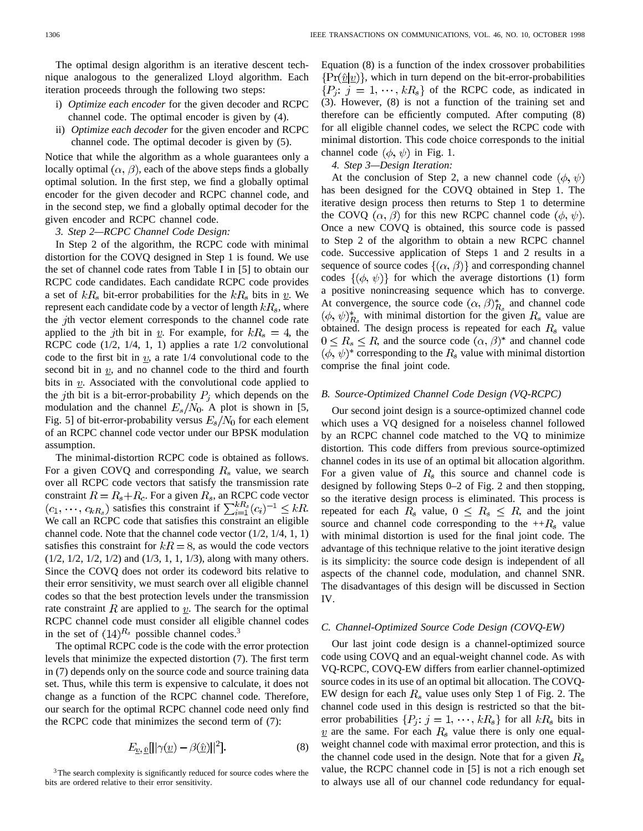The optimal design algorithm is an iterative descent technique analogous to the generalized Lloyd algorithm. Each iteration proceeds through the following two steps:

- i) *Optimize each encoder* for the given decoder and RCPC channel code. The optimal encoder is given by (4).
- ii) *Optimize each decoder* for the given encoder and RCPC channel code. The optimal decoder is given by (5).

Notice that while the algorithm as a whole guarantees only a locally optimal  $(\alpha, \beta)$ , each of the above steps finds a globally optimal solution. In the first step, we find a globally optimal encoder for the given decoder and RCPC channel code, and in the second step, we find a globally optimal decoder for the given encoder and RCPC channel code.

*3. Step 2—RCPC Channel Code Design:*

In Step 2 of the algorithm, the RCPC code with minimal distortion for the COVQ designed in Step 1 is found. We use the set of channel code rates from Table I in [5] to obtain our RCPC code candidates. Each candidate RCPC code provides a set of  $kR_s$  bit-error probabilities for the  $kR_s$  bits in  $\underline{v}$ . We represent each candidate code by a vector of length  $kR_s$ , where the  $j$ th vector element corresponds to the channel code rate applied to the jth bit in  $\underline{v}$ . For example, for  $kR_s = 4$ , the RCPC code (1/2, 1/4, 1, 1) applies a rate 1/2 convolutional code to the first bit in  $v$ , a rate  $1/4$  convolutional code to the second bit in  $v$ , and no channel code to the third and fourth bits in  $v$ . Associated with the convolutional code applied to the j<sup>th</sup> bit is a bit-error-probability  $P_i$  which depends on the modulation and the channel  $E_s/N_0$ . A plot is shown in [5, Fig. 5] of bit-error-probability versus  $E_s/N_0$  for each element of an RCPC channel code vector under our BPSK modulation assumption.

The minimal-distortion RCPC code is obtained as follows. For a given COVQ and corresponding  $R_s$  value, we search over all RCPC code vectors that satisfy the transmission rate constraint  $R = R_s + R_c$ . For a given  $R_s$ , an RCPC code vector satisfies this constraint if  $\sum_{i=1}^{\kappa R_s} (c_i)^{-1} \leq kR$ . We call an RCPC code that satisfies this constraint an eligible channel code. Note that the channel code vector (1/2, 1/4, 1, 1) satisfies this constraint for  $kR = 8$ , as would the code vectors (1/2, 1/2, 1/2, 1/2) and (1/3, 1, 1, 1/3), along with many others. Since the COVQ does not order its codeword bits relative to their error sensitivity, we must search over all eligible channel codes so that the best protection levels under the transmission rate constraint  $R$  are applied to  $v$ . The search for the optimal RCPC channel code must consider all eligible channel codes in the set of  $(14)^{R_s}$  possible channel codes.<sup>3</sup>

The optimal RCPC code is the code with the error protection levels that minimize the expected distortion (7). The first term in (7) depends only on the source code and source training data set. Thus, while this term is expensive to calculate, it does not change as a function of the RCPC channel code. Therefore, our search for the optimal RCPC channel code need only find the RCPC code that minimizes the second term of (7):

$$
E_{\underline{v},\underline{\hat{v}}}[\|\gamma(\underline{v}) - \beta(\underline{\hat{v}})\|^2].\tag{8}
$$

<sup>3</sup>The search complexity is significantly reduced for source codes where the bits are ordered relative to their error sensitivity.

Equation (8) is a function of the index crossover probabilities  $\{\Pr(\hat{v}|v)\}\$ , which in turn depend on the bit-error-probabilities  $\{P_i: j = 1, \dots, kR_s\}$  of the RCPC code, as indicated in (3). However, (8) is not a function of the training set and therefore can be efficiently computed. After computing (8) for all eligible channel codes, we select the RCPC code with minimal distortion. This code choice corresponds to the initial channel code  $(\phi, \psi)$  in Fig. 1.

## *4. Step 3—Design Iteration:*

At the conclusion of Step 2, a new channel code  $(\phi, \psi)$ has been designed for the COVQ obtained in Step 1. The iterative design process then returns to Step 1 to determine the COVQ  $(\alpha, \beta)$  for this new RCPC channel code  $(\phi, \psi)$ . Once a new COVQ is obtained, this source code is passed to Step 2 of the algorithm to obtain a new RCPC channel code. Successive application of Steps 1 and 2 results in a sequence of source codes  $\{(\alpha, \beta)\}\$ and corresponding channel codes  $\{\phi, \psi\}$  for which the average distortions (1) form a positive nonincreasing sequence which has to converge. At convergence, the source code  $(\alpha, \beta)_{R_s}^*$  and channel code  $(\phi, \psi)^*_{R_s}$  with minimal distortion for the given  $R_s$  value are obtained. The design process is repeated for each  $R<sub>s</sub>$  value  $0 \leq R_s \leq R$ , and the source code  $(\alpha, \beta)^*$  and channel code  $(\phi, \psi)^*$  corresponding to the  $R_s$  value with minimal distortion comprise the final joint code.

## *B. Source-Optimized Channel Code Design (VQ-RCPC)*

Our second joint design is a source-optimized channel code which uses a VQ designed for a noiseless channel followed by an RCPC channel code matched to the VQ to minimize distortion. This code differs from previous source-optimized channel codes in its use of an optimal bit allocation algorithm. For a given value of  $R<sub>s</sub>$  this source and channel code is designed by following Steps 0–2 of Fig. 2 and then stopping, so the iterative design process is eliminated. This process is repeated for each  $R_s$  value,  $0 \leq R_s \leq R$ , and the joint source and channel code corresponding to the  $+R_s$  value with minimal distortion is used for the final joint code. The advantage of this technique relative to the joint iterative design is its simplicity: the source code design is independent of all aspects of the channel code, modulation, and channel SNR. The disadvantages of this design will be discussed in Section IV.

#### *C. Channel-Optimized Source Code Design (COVQ-EW)*

Our last joint code design is a channel-optimized source code using COVQ and an equal-weight channel code. As with VQ-RCPC, COVQ-EW differs from earlier channel-optimized source codes in its use of an optimal bit allocation. The COVQ-EW design for each  $R_s$  value uses only Step 1 of Fig. 2. The channel code used in this design is restricted so that the biterror probabilities  $\{P_j: j = 1, \dots, kR_s\}$  for all  $kR_s$  bits in  $\underline{v}$  are the same. For each  $R_s$  value there is only one equalweight channel code with maximal error protection, and this is the channel code used in the design. Note that for a given  $R_s$ value, the RCPC channel code in [5] is not a rich enough set to always use all of our channel code redundancy for equal-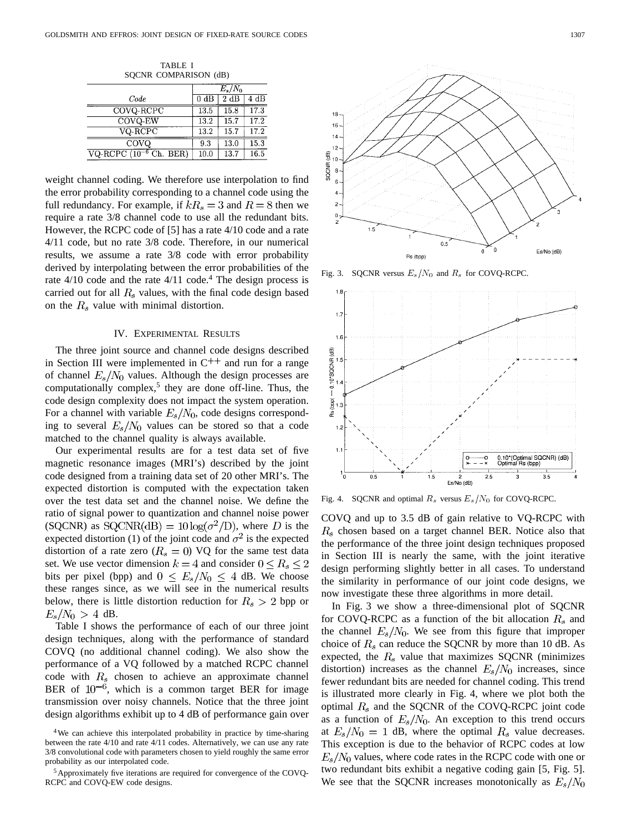TABLE I SQCNR COMPARISON (dB)

|                                | $E_s/N_0$      |      |                  |
|--------------------------------|----------------|------|------------------|
| Code                           | $0 \text{ dB}$ | 2 dB | 4 dB             |
| COVQ-RCPC                      | 13.5           | 15.8 | 17.3             |
| COVQ-EW                        | 13.2           | 15.7 | 17.2             |
| VQ-RCPC                        | 13.2           | 15.7 | 17.2             |
| COVQ                           | 9.3            | 13.0 | $\frac{15.3}{ }$ |
| $VO$ -RCPC $(10^{-6}$ Ch. BER) | 10.0           | 13.7 | 16.5             |

weight channel coding. We therefore use interpolation to find the error probability corresponding to a channel code using the full redundancy. For example, if  $kR_s = 3$  and  $R = 8$  then we require a rate 3/8 channel code to use all the redundant bits. However, the RCPC code of [5] has a rate 4/10 code and a rate 4/11 code, but no rate 3/8 code. Therefore, in our numerical results, we assume a rate 3/8 code with error probability derived by interpolating between the error probabilities of the rate  $4/10$  code and the rate  $4/11$  code.<sup>4</sup> The design process is carried out for all  $R<sub>s</sub>$  values, with the final code design based on the  $R_s$  value with minimal distortion.

## IV. EXPERIMENTAL RESULTS

The three joint source and channel code designs described in Section III were implemented in  $C^{++}$  and run for a range of channel  $E_s/N_0$  values. Although the design processes are computationally complex, $5$  they are done off-line. Thus, the code design complexity does not impact the system operation. For a channel with variable  $E_s/N_0$ , code designs corresponding to several  $E_s/N_0$  values can be stored so that a code matched to the channel quality is always available.

Our experimental results are for a test data set of five magnetic resonance images (MRI's) described by the joint code designed from a training data set of 20 other MRI's. The expected distortion is computed with the expectation taken over the test data set and the channel noise. We define the ratio of signal power to quantization and channel noise power (SQCNR) as  $SQCNR(dB) = 10 \log(\sigma^2/D)$ , where D is the expected distortion (1) of the joint code and  $\sigma^2$  is the expected distortion of a rate zero ( $R_s = 0$ ) VQ for the same test data set. We use vector dimension  $k = 4$  and consider  $0 \leq R_s \leq 2$ bits per pixel (bpp) and  $0 \le E_s/N_0 \le 4$  dB. We choose these ranges since, as we will see in the numerical results below, there is little distortion reduction for  $R_s > 2$  bpp or  $E_s/N_0 > 4$  dB.

Table I shows the performance of each of our three joint design techniques, along with the performance of standard COVQ (no additional channel coding). We also show the performance of a VQ followed by a matched RCPC channel code with  $R<sub>s</sub>$  chosen to achieve an approximate channel BER of  $10^{-6}$ , which is a common target BER for image transmission over noisy channels. Notice that the three joint design algorithms exhibit up to 4 dB of performance gain over



Fig. 3. SQCNR versus  $E_s/N_0$  and  $R_s$  for COVQ-RCPC.



Fig. 4. SQCNR and optimal  $R_s$  versus  $E_s/N_0$  for COVQ-RCPC.

COVQ and up to 3.5 dB of gain relative to VQ-RCPC with  $R_s$  chosen based on a target channel BER. Notice also that the performance of the three joint design techniques proposed in Section III is nearly the same, with the joint iterative design performing slightly better in all cases. To understand the similarity in performance of our joint code designs, we now investigate these three algorithms in more detail.

In Fig. 3 we show a three-dimensional plot of SQCNR for COVQ-RCPC as a function of the bit allocation  $R_s$  and the channel  $E_s/N_0$ . We see from this figure that improper choice of  $R_s$  can reduce the SQCNR by more than 10 dB. As expected, the  $R_s$  value that maximizes SQCNR (minimizes distortion) increases as the channel  $E_s/N_0$  increases, since fewer redundant bits are needed for channel coding. This trend is illustrated more clearly in Fig. 4, where we plot both the optimal  $R_s$  and the SQCNR of the COVQ-RCPC joint code as a function of  $E_s/N_0$ . An exception to this trend occurs at  $E_s/N_0 = 1$  dB, where the optimal  $R_s$  value decreases. This exception is due to the behavior of RCPC codes at low  $E_s/N_0$  values, where code rates in the RCPC code with one or two redundant bits exhibit a negative coding gain [5, Fig. 5]. We see that the SQCNR increases monotonically as  $E_s/N_0$ 

<sup>&</sup>lt;sup>4</sup>We can achieve this interpolated probability in practice by time-sharing between the rate 4/10 and rate 4/11 codes. Alternatively, we can use any rate 3/8 convolutional code with parameters chosen to yield roughly the same error probability as our interpolated code.

<sup>5</sup>Approximately five iterations are required for convergence of the COVQ-RCPC and COVQ-EW code designs.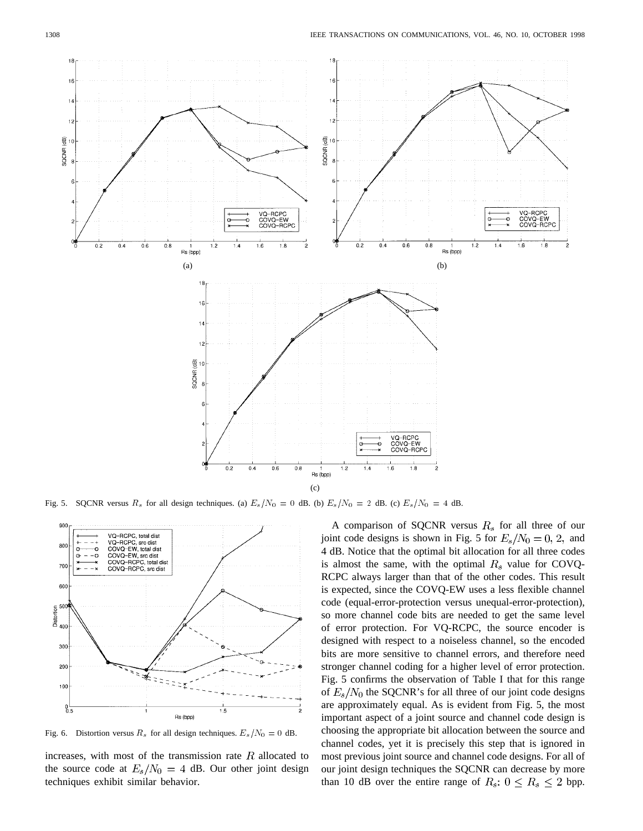

Fig. 5. SQCNR versus  $R_s$  for all design techniques. (a)  $E_s/N_0 = 0$  dB. (b)  $E_s/N_0 = 2$  dB. (c)  $E_s/N_0 = 4$  dB.



Fig. 6. Distortion versus  $R_s$  for all design techniques.  $E_s/N_0 = 0$  dB.

increases, with most of the transmission rate  $R$  allocated to the source code at  $E_s/N_0 = 4$  dB. Our other joint design techniques exhibit similar behavior.

A comparison of SQCNR versus  $R_s$  for all three of our joint code designs is shown in Fig. 5 for  $E_s/N_0 = 0, 2,$  and 4 dB. Notice that the optimal bit allocation for all three codes is almost the same, with the optimal  $R_s$  value for COVQ-RCPC always larger than that of the other codes. This result is expected, since the COVQ-EW uses a less flexible channel code (equal-error-protection versus unequal-error-protection), so more channel code bits are needed to get the same level of error protection. For VQ-RCPC, the source encoder is designed with respect to a noiseless channel, so the encoded bits are more sensitive to channel errors, and therefore need stronger channel coding for a higher level of error protection. Fig. 5 confirms the observation of Table I that for this range of  $E_s/N_0$  the SQCNR's for all three of our joint code designs are approximately equal. As is evident from Fig. 5, the most important aspect of a joint source and channel code design is choosing the appropriate bit allocation between the source and channel codes, yet it is precisely this step that is ignored in most previous joint source and channel code designs. For all of our joint design techniques the SQCNR can decrease by more than 10 dB over the entire range of  $R_s$ :  $0 \leq R_s \leq 2$  bpp.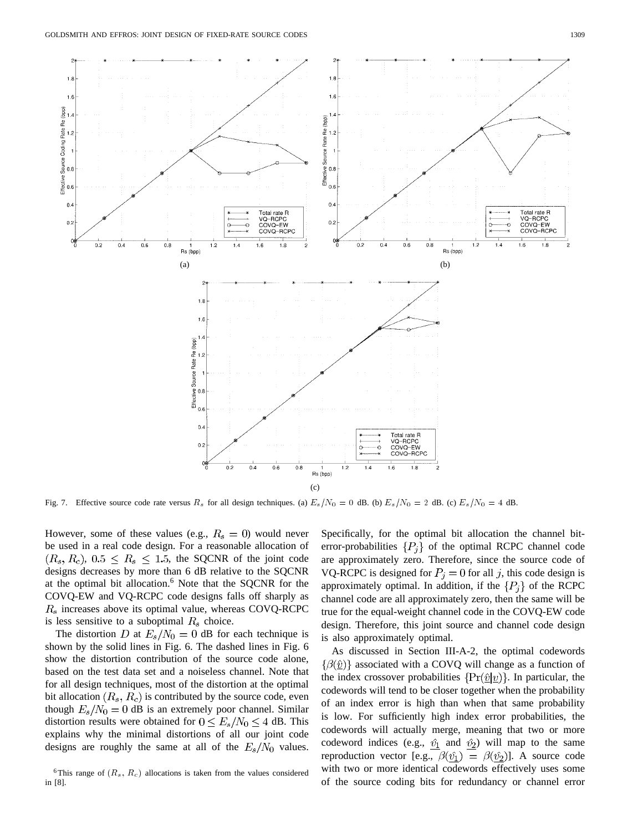

Fig. 7. Effective source code rate versus  $R_s$  for all design techniques. (a)  $E_s/N_0 = 0$  dB. (b)  $E_s/N_0 = 2$  dB. (c)  $E_s/N_0 = 4$  dB.

However, some of these values (e.g.,  $R_s = 0$ ) would never be used in a real code design. For a reasonable allocation of  $(R_s, R_c)$ ,  $0.5 \le R_s \le 1.5$ , the SQCNR of the joint code designs decreases by more than 6 dB relative to the SQCNR at the optimal bit allocation.<sup>6</sup> Note that the SQCNR for the COVQ-EW and VQ-RCPC code designs falls off sharply as  $R<sub>s</sub>$  increases above its optimal value, whereas COVQ-RCPC is less sensitive to a suboptimal  $R_s$  choice.

The distortion D at  $E_s/N_0 = 0$  dB for each technique is shown by the solid lines in Fig. 6. The dashed lines in Fig. 6 show the distortion contribution of the source code alone, based on the test data set and a noiseless channel. Note that for all design techniques, most of the distortion at the optimal bit allocation  $(R_s, R_c)$  is contributed by the source code, even though  $E_s/N_0 = 0$  dB is an extremely poor channel. Similar distortion results were obtained for  $0 \leq E_s/N_0 \leq 4$  dB. This explains why the minimal distortions of all our joint code designs are roughly the same at all of the  $E_s/N_0$  values.

Specifically, for the optimal bit allocation the channel biterror-probabilities  $\{P_i\}$  of the optimal RCPC channel code are approximately zero. Therefore, since the source code of VQ-RCPC is designed for  $P_j = 0$  for all j, this code design is approximately optimal. In addition, if the  $\{P_i\}$  of the RCPC channel code are all approximately zero, then the same will be true for the equal-weight channel code in the COVQ-EW code design. Therefore, this joint source and channel code design is also approximately optimal.

As discussed in Section III-A-2, the optimal codewords  $\{\beta(\hat{v})\}$  associated with a COVQ will change as a function of the index crossover probabilities  $\{Pr(\hat{v}|\hat{v})\}$ . In particular, the codewords will tend to be closer together when the probability of an index error is high than when that same probability is low. For sufficiently high index error probabilities, the codewords will actually merge, meaning that two or more codeword indices (e.g.,  $\hat{v_1}$  and  $\hat{v_2}$ ) will map to the same reproduction vector [e.g.,  $\beta(\hat{v}_1) = \beta(\hat{v}_2)$ ]. A source code with two or more identical codewords effectively uses some of the source coding bits for redundancy or channel error

<sup>&</sup>lt;sup>6</sup>This range of  $(R_s, R_c)$  allocations is taken from the values considered in [8].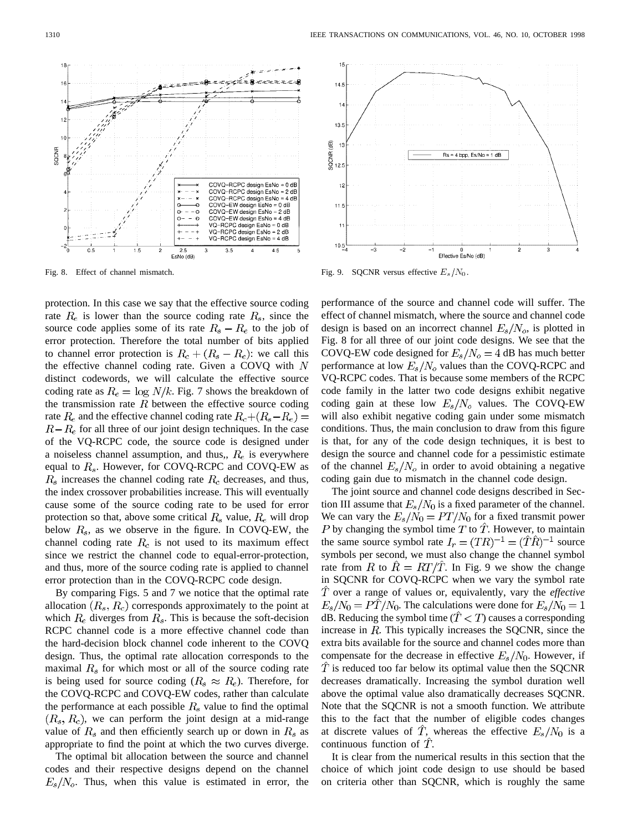

Fig. 8. Effect of channel mismatch.

protection. In this case we say that the effective source coding rate  $R_e$  is lower than the source coding rate  $R_s$ , since the source code applies some of its rate  $R_s - R_e$  to the job of error protection. Therefore the total number of bits applied to channel error protection is  $R_c + (R_s - R_e)$ : we call this the effective channel coding rate. Given a COVQ with  $N$ distinct codewords, we will calculate the effective source coding rate as  $R_e = \log N/k$ . Fig. 7 shows the breakdown of the transmission rate  $R$  between the effective source coding rate  $R_e$  and the effective channel coding rate  $R_c+(R_s-R_e)$  =  $R - R_e$  for all three of our joint design techniques. In the case of the VQ-RCPC code, the source code is designed under a noiseless channel assumption, and thus,,  $R_e$  is everywhere equal to  $R_s$ . However, for COVQ-RCPC and COVQ-EW as  $R_s$  increases the channel coding rate  $R_c$  decreases, and thus, the index crossover probabilities increase. This will eventually cause some of the source coding rate to be used for error protection so that, above some critical  $R_s$  value,  $R_e$  will drop below  $R_s$ , as we observe in the figure. In COVQ-EW, the channel coding rate  $R_c$  is not used to its maximum effect since we restrict the channel code to equal-error-protection, and thus, more of the source coding rate is applied to channel error protection than in the COVQ-RCPC code design.

By comparing Figs. 5 and 7 we notice that the optimal rate allocation  $(R_s, R_c)$  corresponds approximately to the point at which  $R_e$  diverges from  $R_s$ . This is because the soft-decision RCPC channel code is a more effective channel code than the hard-decision block channel code inherent to the COVQ design. Thus, the optimal rate allocation corresponds to the maximal  $R_s$  for which most or all of the source coding rate is being used for source coding  $(R_s \approx R_e)$ . Therefore, for the COVQ-RCPC and COVQ-EW codes, rather than calculate the performance at each possible  $R<sub>s</sub>$  value to find the optimal  $(R_s, R_c)$ , we can perform the joint design at a mid-range value of  $R_s$  and then efficiently search up or down in  $R_s$  as appropriate to find the point at which the two curves diverge.

The optimal bit allocation between the source and channel codes and their respective designs depend on the channel  $E_s/N_o$ . Thus, when this value is estimated in error, the



Fig. 9. SQCNR versus effective  $E_s/N_0$ .

performance of the source and channel code will suffer. The effect of channel mismatch, where the source and channel code design is based on an incorrect channel  $E_s/N_o$ , is plotted in Fig. 8 for all three of our joint code designs. We see that the COVQ-EW code designed for  $E_s/N_o = 4$  dB has much better performance at low  $E_s/N_o$  values than the COVQ-RCPC and VQ-RCPC codes. That is because some members of the RCPC code family in the latter two code designs exhibit negative coding gain at these low  $E_s/N_o$  values. The COVQ-EW will also exhibit negative coding gain under some mismatch conditions. Thus, the main conclusion to draw from this figure is that, for any of the code design techniques, it is best to design the source and channel code for a pessimistic estimate of the channel  $E_s/N_o$  in order to avoid obtaining a negative coding gain due to mismatch in the channel code design.

The joint source and channel code designs described in Section III assume that  $E_s/N_0$  is a fixed parameter of the channel. We can vary the  $E_s/N_0 = PT/N_0$  for a fixed transmit power P by changing the symbol time T to  $\hat{T}$ . However, to maintain the same source symbol rate  $I_r = (TR)^{-1} = (\hat{T}\hat{R})^{-1}$  source symbols per second, we must also change the channel symbol rate from R to  $\ddot{R} = RT/\ddot{T}$ . In Fig. 9 we show the change in SQCNR for COVQ-RCPC when we vary the symbol rate over a range of values or, equivalently, vary the *effective*  $E_s/N_0 = P\hat{T}/N_0$ . The calculations were done for  $E_s/N_0 = 1$ dB. Reducing the symbol time  $(T < T)$  causes a corresponding increase in  $R$ . This typically increases the SQCNR, since the extra bits available for the source and channel codes more than compensate for the decrease in effective  $E_s/N_0$ . However, if  $\hat{T}$  is reduced too far below its optimal value then the SQCNR decreases dramatically. Increasing the symbol duration well above the optimal value also dramatically decreases SQCNR. Note that the SQCNR is not a smooth function. We attribute this to the fact that the number of eligible codes changes at discrete values of  $\hat{T}$ , whereas the effective  $E_s/N_0$  is a continuous function of  $\hat{T}$ .

It is clear from the numerical results in this section that the choice of which joint code design to use should be based on criteria other than SQCNR, which is roughly the same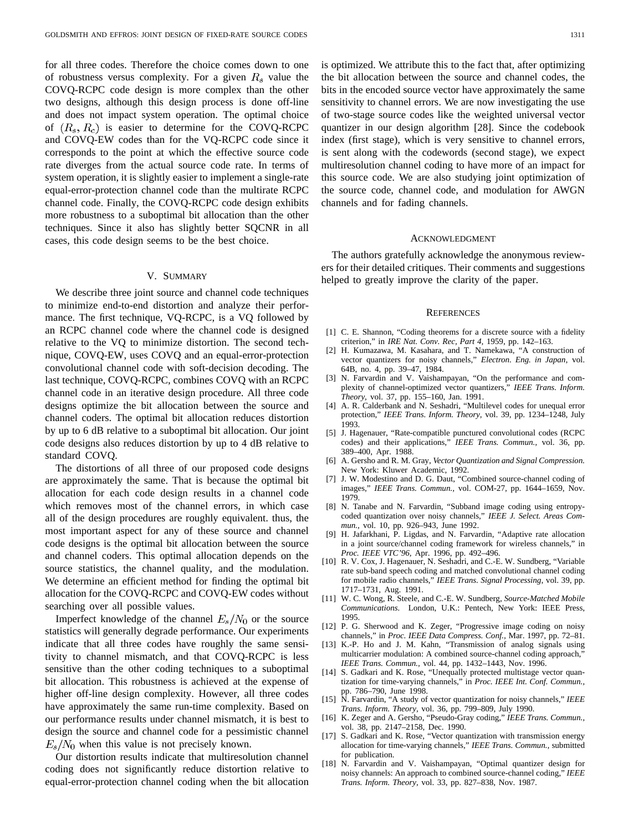for all three codes. Therefore the choice comes down to one of robustness versus complexity. For a given  $R_s$  value the COVQ-RCPC code design is more complex than the other two designs, although this design process is done off-line and does not impact system operation. The optimal choice of  $(R_s, R_c)$  is easier to determine for the COVQ-RCPC and COVQ-EW codes than for the VQ-RCPC code since it corresponds to the point at which the effective source code rate diverges from the actual source code rate. In terms of system operation, it is slightly easier to implement a single-rate equal-error-protection channel code than the multirate RCPC channel code. Finally, the COVQ-RCPC code design exhibits more robustness to a suboptimal bit allocation than the other techniques. Since it also has slightly better SQCNR in all cases, this code design seems to be the best choice.

## V. SUMMARY

We describe three joint source and channel code techniques to minimize end-to-end distortion and analyze their performance. The first technique, VQ-RCPC, is a VQ followed by an RCPC channel code where the channel code is designed relative to the VQ to minimize distortion. The second technique, COVQ-EW, uses COVQ and an equal-error-protection convolutional channel code with soft-decision decoding. The last technique, COVQ-RCPC, combines COVQ with an RCPC channel code in an iterative design procedure. All three code designs optimize the bit allocation between the source and channel coders. The optimal bit allocation reduces distortion by up to 6 dB relative to a suboptimal bit allocation. Our joint code designs also reduces distortion by up to 4 dB relative to standard COVQ.

The distortions of all three of our proposed code designs are approximately the same. That is because the optimal bit allocation for each code design results in a channel code which removes most of the channel errors, in which case all of the design procedures are roughly equivalent. thus, the most important aspect for any of these source and channel code designs is the optimal bit allocation between the source and channel coders. This optimal allocation depends on the source statistics, the channel quality, and the modulation. We determine an efficient method for finding the optimal bit allocation for the COVQ-RCPC and COVQ-EW codes without searching over all possible values.

Imperfect knowledge of the channel  $E_s/N_0$  or the source statistics will generally degrade performance. Our experiments indicate that all three codes have roughly the same sensitivity to channel mismatch, and that COVQ-RCPC is less sensitive than the other coding techniques to a suboptimal bit allocation. This robustness is achieved at the expense of higher off-line design complexity. However, all three codes have approximately the same run-time complexity. Based on our performance results under channel mismatch, it is best to design the source and channel code for a pessimistic channel  $E_s/N_0$  when this value is not precisely known.

Our distortion results indicate that multiresolution channel coding does not significantly reduce distortion relative to equal-error-protection channel coding when the bit allocation is optimized. We attribute this to the fact that, after optimizing the bit allocation between the source and channel codes, the bits in the encoded source vector have approximately the same sensitivity to channel errors. We are now investigating the use of two-stage source codes like the weighted universal vector quantizer in our design algorithm [28]. Since the codebook index (first stage), which is very sensitive to channel errors, is sent along with the codewords (second stage), we expect multiresolution channel coding to have more of an impact for this source code. We are also studying joint optimization of the source code, channel code, and modulation for AWGN channels and for fading channels.

#### ACKNOWLEDGMENT

The authors gratefully acknowledge the anonymous reviewers for their detailed critiques. Their comments and suggestions helped to greatly improve the clarity of the paper.

### **REFERENCES**

- [1] C. E. Shannon, "Coding theorems for a discrete source with a fidelity criterion," in *IRE Nat. Conv. Rec, Part 4,* 1959, pp. 142–163.
- [2] H. Kumazawa, M. Kasahara, and T. Namekawa, "A construction of vector quantizers for noisy channels," *Electron. Eng. in Japan,* vol. 64B, no. 4, pp. 39–47, 1984.
- [3] N. Farvardin and V. Vaishampayan, "On the performance and complexity of channel-optimized vector quantizers," *IEEE Trans. Inform. Theory,* vol. 37, pp. 155–160, Jan. 1991.
- [4] A. R. Calderbank and N. Seshadri, "Multilevel codes for unequal error protection," *IEEE Trans. Inform. Theory,* vol. 39, pp. 1234–1248, July 1993.
- [5] J. Hagenauer, "Rate-compatible punctured convolutional codes (RCPC codes) and their applications," *IEEE Trans. Commun.,* vol. 36, pp. 389–400, Apr. 1988.
- [6] A. Gersho and R. M. Gray, *Vector Quantization and Signal Compression.* New York: Kluwer Academic, 1992.
- [7] J. W. Modestino and D. G. Daut, "Combined source-channel coding of images," *IEEE Trans. Commun.,* vol. COM-27, pp. 1644–1659, Nov. 1979.
- [8] N. Tanabe and N. Farvardin, "Subband image coding using entropycoded quantization over noisy channels," *IEEE J. Select. Areas Commun.,* vol. 10, pp. 926–943, June 1992.
- [9] H. Jafarkhani, P. Ligdas, and N. Farvardin, "Adaptive rate allocation in a joint source/channel coding framework for wireless channels," in *Proc. IEEE VTC'96,* Apr. 1996, pp. 492–496.
- [10] R. V. Cox, J. Hagenauer, N. Seshadri, and C.-E. W. Sundberg, "Variable rate sub-band speech coding and matched convolutional channel coding for mobile radio channels," *IEEE Trans. Signal Processing*, vol. 39, pp. 1717–1731, Aug. 1991.
- [11] W. C. Wong, R. Steele, and C.-E. W. Sundberg, *Source-Matched Mobile Communications.* London, U.K.: Pentech, New York: IEEE Press, 1995.
- [12] P. G. Sherwood and K. Zeger, "Progressive image coding on noisy channels," in *Proc. IEEE Data Compress. Conf.,* Mar. 1997, pp. 72–81.
- [13] K.-P. Ho and J. M. Kahn, "Transmission of analog signals using multicarrier modulation: A combined source-channel coding approach,' *IEEE Trans. Commun.,* vol. 44, pp. 1432–1443, Nov. 1996.
- [14] S. Gadkari and K. Rose, "Unequally protected multistage vector quantization for time-varying channels," in *Proc. IEEE Int. Conf. Commun.,* pp. 786–790, June 1998.
- [15] N. Farvardin, "A study of vector quantization for noisy channels," *IEEE Trans. Inform. Theory,* vol. 36, pp. 799–809, July 1990.
- [16] K. Zeger and A. Gersho, "Pseudo-Gray coding," *IEEE Trans. Commun.,* vol. 38, pp. 2147–2158, Dec. 1990.
- [17] S. Gadkari and K. Rose, "Vector quantization with transmission energy allocation for time-varying channels," *IEEE Trans. Commun.,* submitted for publication.
- [18] N. Farvardin and V. Vaishampayan, "Optimal quantizer design for noisy channels: An approach to combined source-channel coding," *IEEE Trans. Inform. Theory,* vol. 33, pp. 827–838, Nov. 1987.